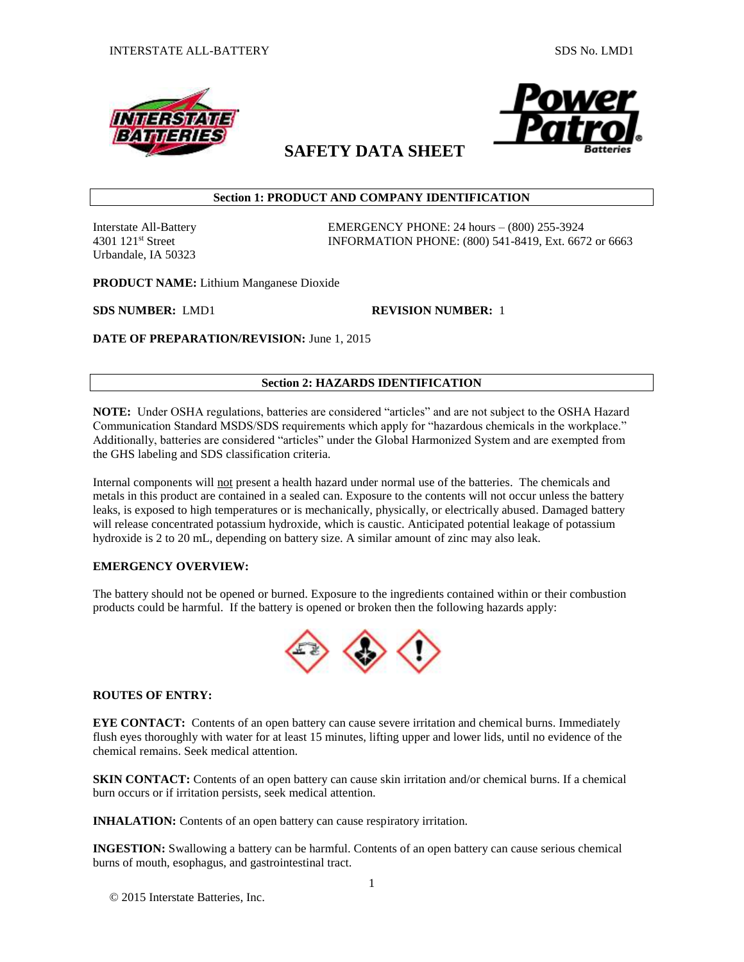



# **SAFETY DATA SHEET**

# **Section 1: PRODUCT AND COMPANY IDENTIFICATION**

Urbandale, IA 50323

Interstate All-Battery EMERGENCY PHONE: 24 hours – (800) 255-3924 4301 121st Street INFORMATION PHONE: (800) 541-8419, Ext. 6672 or 6663

**PRODUCT NAME:** Lithium Manganese Dioxide

**SDS NUMBER:** LMD1 **REVISION NUMBER:** 1

**DATE OF PREPARATION/REVISION:** June 1, 2015

# **Section 2: HAZARDS IDENTIFICATION**

**NOTE:** Under OSHA regulations, batteries are considered "articles" and are not subject to the OSHA Hazard Communication Standard MSDS/SDS requirements which apply for "hazardous chemicals in the workplace." Additionally, batteries are considered "articles" under the Global Harmonized System and are exempted from the GHS labeling and SDS classification criteria.

Internal components will not present a health hazard under normal use of the batteries. The chemicals and metals in this product are contained in a sealed can. Exposure to the contents will not occur unless the battery leaks, is exposed to high temperatures or is mechanically, physically, or electrically abused. Damaged battery will release concentrated potassium hydroxide, which is caustic. Anticipated potential leakage of potassium hydroxide is 2 to 20 mL, depending on battery size. A similar amount of zinc may also leak.

# **EMERGENCY OVERVIEW:**

The battery should not be opened or burned. Exposure to the ingredients contained within or their combustion products could be harmful. If the battery is opened or broken then the following hazards apply:



# **ROUTES OF ENTRY:**

**EYE CONTACT:** Contents of an open battery can cause severe irritation and chemical burns. Immediately flush eyes thoroughly with water for at least 15 minutes, lifting upper and lower lids, until no evidence of the chemical remains. Seek medical attention.

**SKIN CONTACT:** Contents of an open battery can cause skin irritation and/or chemical burns. If a chemical burn occurs or if irritation persists, seek medical attention.

**INHALATION:** Contents of an open battery can cause respiratory irritation.

**INGESTION:** Swallowing a battery can be harmful. Contents of an open battery can cause serious chemical burns of mouth, esophagus, and gastrointestinal tract.

© 2015 Interstate Batteries, Inc.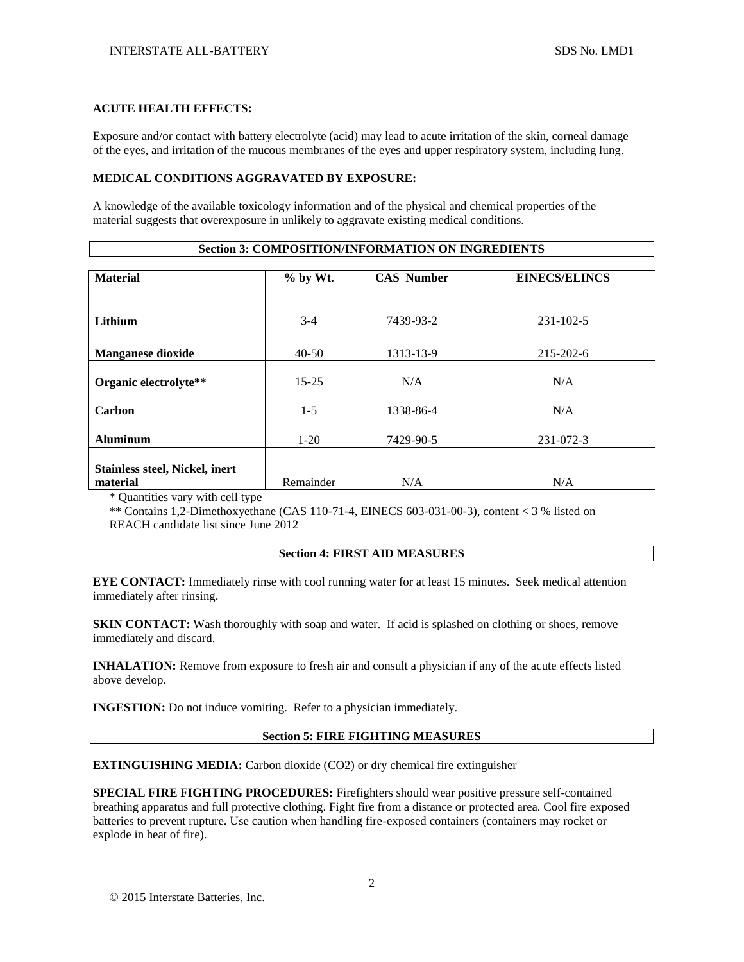#### **ACUTE HEALTH EFFECTS:**

Exposure and/or contact with battery electrolyte (acid) may lead to acute irritation of the skin, corneal damage of the eyes, and irritation of the mucous membranes of the eyes and upper respiratory system, including lung.

### **MEDICAL CONDITIONS AGGRAVATED BY EXPOSURE:**

A knowledge of the available toxicology information and of the physical and chemical properties of the material suggests that overexposure in unlikely to aggravate existing medical conditions.

| <b>Section 3: COMPOSITION/INFORMATION ON INGREDIENTS</b> |  |
|----------------------------------------------------------|--|
|----------------------------------------------------------|--|

| <b>Material</b>                                   | % by Wt.  | <b>CAS Number</b> | <b>EINECS/ELINCS</b> |
|---------------------------------------------------|-----------|-------------------|----------------------|
|                                                   |           |                   |                      |
| Lithium                                           | $3-4$     | 7439-93-2         | $231 - 102 - 5$      |
| <b>Manganese dioxide</b>                          | $40-50$   | 1313-13-9         | 215-202-6            |
| Organic electrolyte**                             | $15 - 25$ | N/A               | N/A                  |
| Carbon                                            | $1-5$     | 1338-86-4         | N/A                  |
| <b>Aluminum</b>                                   | $1-20$    | 7429-90-5         | 231-072-3            |
| <b>Stainless steel, Nickel, inert</b><br>material | Remainder | N/A               | N/A                  |

\* Quantities vary with cell type

\*\* Contains 1,2-Dimethoxyethane (CAS 110-71-4, EINECS 603-031-00-3), content < 3 % listed on REACH candidate list since June 2012

#### **Section 4: FIRST AID MEASURES**

**EYE CONTACT:** Immediately rinse with cool running water for at least 15 minutes. Seek medical attention immediately after rinsing.

**SKIN CONTACT:** Wash thoroughly with soap and water. If acid is splashed on clothing or shoes, remove immediately and discard.

**INHALATION:** Remove from exposure to fresh air and consult a physician if any of the acute effects listed above develop.

**INGESTION:** Do not induce vomiting. Refer to a physician immediately.

#### **Section 5: FIRE FIGHTING MEASURES**

**EXTINGUISHING MEDIA:** Carbon dioxide (CO2) or dry chemical fire extinguisher

**SPECIAL FIRE FIGHTING PROCEDURES:** Firefighters should wear positive pressure self-contained breathing apparatus and full protective clothing. Fight fire from a distance or protected area. Cool fire exposed batteries to prevent rupture. Use caution when handling fire-exposed containers (containers may rocket or explode in heat of fire).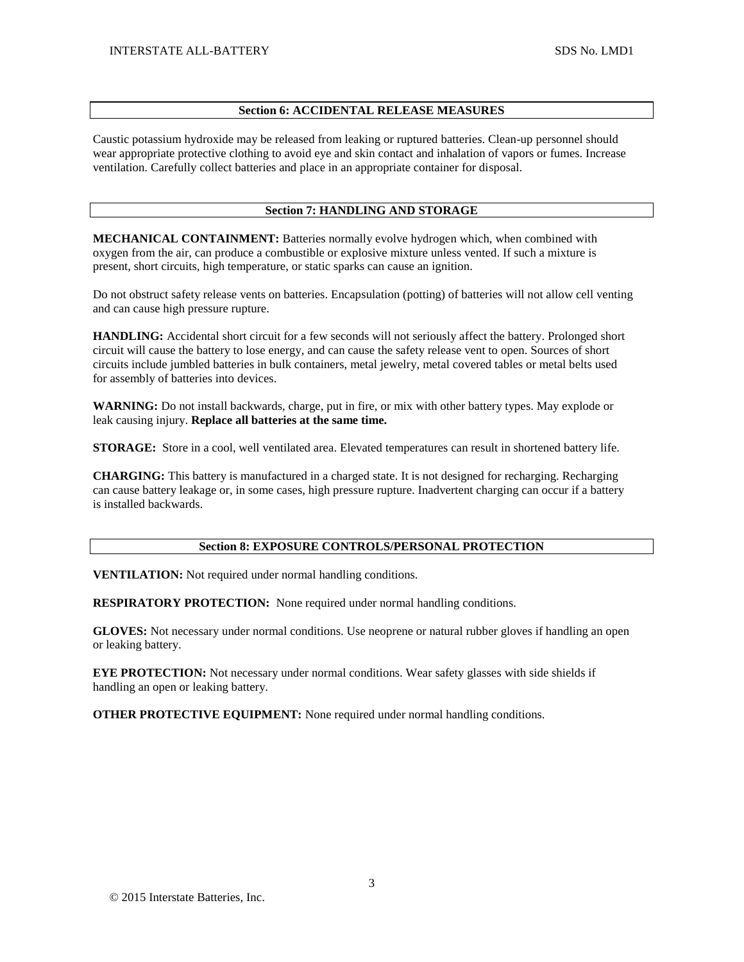### **Section 6: ACCIDENTAL RELEASE MEASURES**

Caustic potassium hydroxide may be released from leaking or ruptured batteries. Clean-up personnel should wear appropriate protective clothing to avoid eye and skin contact and inhalation of vapors or fumes. Increase ventilation. Carefully collect batteries and place in an appropriate container for disposal.

### **Section 7: HANDLING AND STORAGE**

**MECHANICAL CONTAINMENT:** Batteries normally evolve hydrogen which, when combined with oxygen from the air, can produce a combustible or explosive mixture unless vented. If such a mixture is present, short circuits, high temperature, or static sparks can cause an ignition.

Do not obstruct safety release vents on batteries. Encapsulation (potting) of batteries will not allow cell venting and can cause high pressure rupture.

**HANDLING:** Accidental short circuit for a few seconds will not seriously affect the battery. Prolonged short circuit will cause the battery to lose energy, and can cause the safety release vent to open. Sources of short circuits include jumbled batteries in bulk containers, metal jewelry, metal covered tables or metal belts used for assembly of batteries into devices.

**WARNING:** Do not install backwards, charge, put in fire, or mix with other battery types. May explode or leak causing injury. **Replace all batteries at the same time.**

**STORAGE:** Store in a cool, well ventilated area. Elevated temperatures can result in shortened battery life.

**CHARGING:** This battery is manufactured in a charged state. It is not designed for recharging. Recharging can cause battery leakage or, in some cases, high pressure rupture. Inadvertent charging can occur if a battery is installed backwards.

### **Section 8: EXPOSURE CONTROLS/PERSONAL PROTECTION**

**VENTILATION:** Not required under normal handling conditions.

**RESPIRATORY PROTECTION:** None required under normal handling conditions.

**GLOVES:** Not necessary under normal conditions. Use neoprene or natural rubber gloves if handling an open or leaking battery.

**EYE PROTECTION:** Not necessary under normal conditions. Wear safety glasses with side shields if handling an open or leaking battery.

**OTHER PROTECTIVE EQUIPMENT:** None required under normal handling conditions.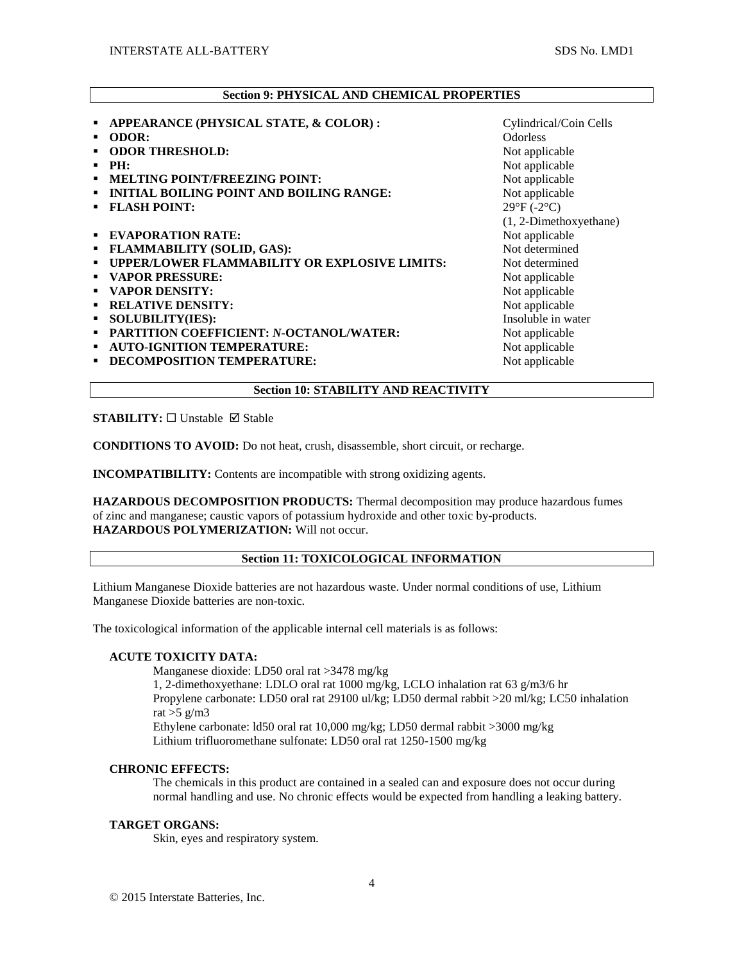# **Section 9: PHYSICAL AND CHEMICAL PROPERTIES**

| APPEARANCE (PHYSICAL STATE, & COLOR):<br>٠           | Cylindrical/Coin Cells     |
|------------------------------------------------------|----------------------------|
| <b>ODOR:</b><br>٠                                    | <b>Odorless</b>            |
| <b>ODOR THRESHOLD:</b>                               | Not applicable             |
| PH:                                                  | Not applicable             |
| <b>MELTING POINT/FREEZING POINT:</b><br>٠            | Not applicable             |
| <b>INITIAL BOILING POINT AND BOILING RANGE:</b><br>٠ | Not applicable             |
| <b>FLASH POINT:</b>                                  | $29^{\circ}F(-2^{\circ}C)$ |
|                                                      | (1, 2-Dimethoxyethane)     |
| <b>EVAPORATION RATE:</b><br>٠                        | Not applicable             |
| <b>FLAMMABILITY (SOLID, GAS):</b><br>٠               | Not determined             |
| UPPER/LOWER FLAMMABILITY OR EXPLOSIVE LIMITS:<br>٠   | Not determined             |
| <b>VAPOR PRESSURE:</b><br>٠                          | Not applicable             |
| <b>VAPOR DENSITY:</b><br>٠                           | Not applicable             |
| <b>RELATIVE DENSITY:</b><br>٠                        | Not applicable             |
| <b>SOLUBILITY(IES):</b><br>٠                         | Insoluble in water         |
| PARTITION COEFFICIENT: N-OCTANOL/WATER:<br>٠         | Not applicable             |
| <b>AUTO-IGNITION TEMPERATURE:</b><br>٠               | Not applicable             |
| DECOMPOSITION TEMPERATURE:                           | Not applicable             |
|                                                      |                            |

**Section 10: STABILITY AND REACTIVITY**

**STABILITY:** □ Unstable Ø Stable

**CONDITIONS TO AVOID:** Do not heat, crush, disassemble, short circuit, or recharge.

**INCOMPATIBILITY:** Contents are incompatible with strong oxidizing agents.

**HAZARDOUS DECOMPOSITION PRODUCTS:** Thermal decomposition may produce hazardous fumes of zinc and manganese; caustic vapors of potassium hydroxide and other toxic by-products. **HAZARDOUS POLYMERIZATION:** Will not occur.

### **Section 11: TOXICOLOGICAL INFORMATION**

Lithium Manganese Dioxide batteries are not hazardous waste. Under normal conditions of use, Lithium Manganese Dioxide batteries are non-toxic.

The toxicological information of the applicable internal cell materials is as follows:

# **ACUTE TOXICITY DATA:**

Manganese dioxide: LD50 oral rat >3478 mg/kg 1, 2-dimethoxyethane: LDLO oral rat 1000 mg/kg, LCLO inhalation rat 63 g/m3/6 hr Propylene carbonate: LD50 oral rat 29100 ul/kg; LD50 dermal rabbit >20 ml/kg; LC50 inhalation rat  $>5$  g/m3 Ethylene carbonate: ld50 oral rat 10,000 mg/kg; LD50 dermal rabbit >3000 mg/kg Lithium trifluoromethane sulfonate: LD50 oral rat 1250-1500 mg/kg

### **CHRONIC EFFECTS:**

The chemicals in this product are contained in a sealed can and exposure does not occur during normal handling and use. No chronic effects would be expected from handling a leaking battery.

#### **TARGET ORGANS:**

Skin, eyes and respiratory system.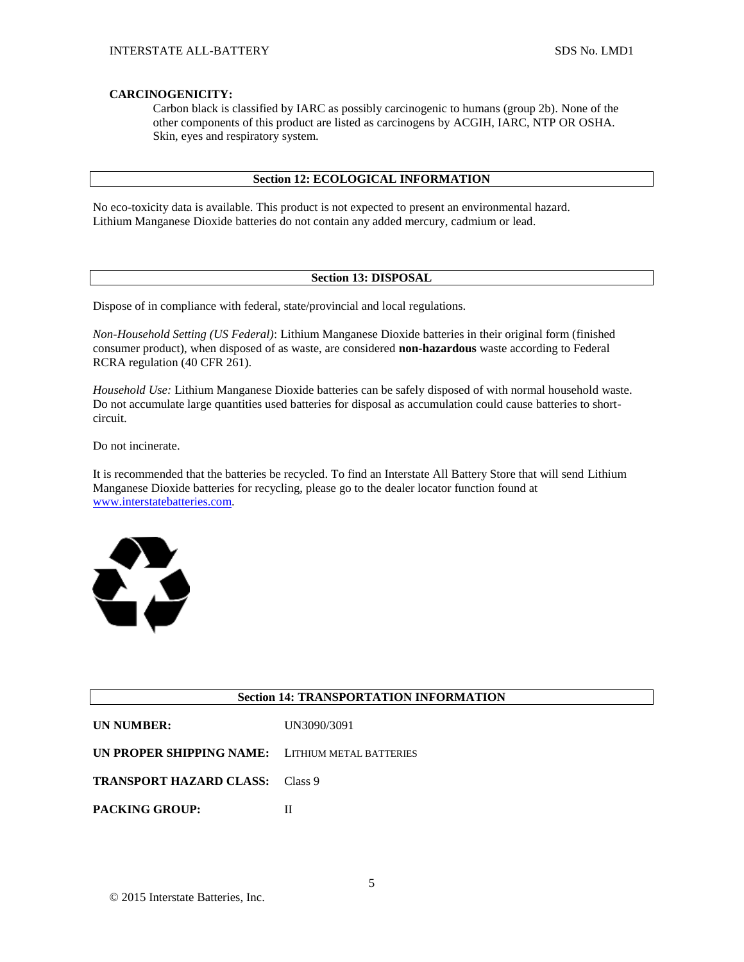### **CARCINOGENICITY:**

Carbon black is classified by IARC as possibly carcinogenic to humans (group 2b). None of the other components of this product are listed as carcinogens by ACGIH, IARC, NTP OR OSHA. Skin, eyes and respiratory system.

### **Section 12: ECOLOGICAL INFORMATION**

No eco-toxicity data is available. This product is not expected to present an environmental hazard. Lithium Manganese Dioxide batteries do not contain any added mercury, cadmium or lead.

### **Section 13: DISPOSAL**

Dispose of in compliance with federal, state/provincial and local regulations.

*Non-Household Setting (US Federal)*: Lithium Manganese Dioxide batteries in their original form (finished consumer product), when disposed of as waste, are considered **non-hazardous** waste according to Federal RCRA regulation (40 CFR 261).

*Household Use:* Lithium Manganese Dioxide batteries can be safely disposed of with normal household waste. Do not accumulate large quantities used batteries for disposal as accumulation could cause batteries to shortcircuit.

Do not incinerate.

It is recommended that the batteries be recycled. To find an Interstate All Battery Store that will send Lithium Manganese Dioxide batteries for recycling, please go to the dealer locator function found at [www.interstatebatteries.com.](http://www.interstatebatteries.com/)



## **Section 14: TRANSPORTATION INFORMATION**

| <b>UN NUMBER:</b> | UN3090/3091 |
|-------------------|-------------|
|                   |             |

**TRANSPORT HAZARD CLASS:** Class 9

**PACKING GROUP:** II